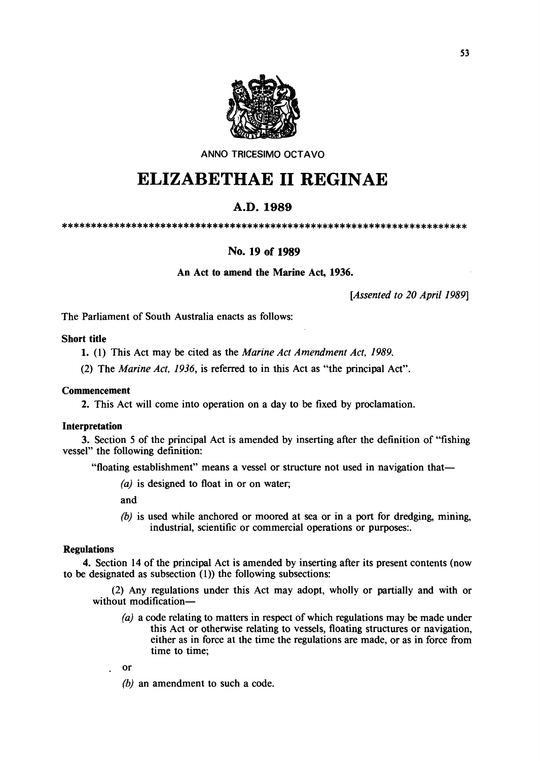

ANNO TRICESIMO OCTAVO

# **ELIZABETHAE 11 REGINAE**

## A.D.1989

\*\*\*\*\*\*\*\*\*\*\*\*\*\*\*\*\*\*\*\*\*\*\*\*\*\*\*\*\*\*\*\*\*\*\*\*\*\*\*\*\*\*\*\*\*\*\*\*\*\*\*\*\*\*\*\*\*\*\*\*\*\*\*\*\*\*\*\*\*\*

### No. 19 of 1989

#### An Act to amend the Marine Act, 1936.

*[Assented to 20 April* 1989]

The Parliament of South Australia enacts as follows:

#### Short title

1. (1) This Act may be cited as the *Marine Act Amendment Act, 1989.* 

(2) The *Marine Act,* 1936, is referred to in this Act as "the principal Act".

#### **Commencement**

2. This Act will come into operation on a day to be fixed by proclamation.

#### Interpretation

3. Section 5 of the principal Act is amended by inserting after the definition of "fishing vessel" the following definition:

"floating establishment" means a vessel or structure not used in navigation that-

 $(a)$  is designed to float in or on water;

and

(b) is used while anchored or moored at sea or in a port for dredging, mining, industrial, scientific or commercial operations or purposes:.

#### Regulations

4. Section 14 of the principal Act is amended by inserting after its present contents (now to be designated as subsection  $(1)$ ) the following subsections:

(2) Any regulations under this Act may adopt, wholly or partially and with or without modification-

- (a) a code relating to matters in respect of which regulations may be made under this Act or otherwise relating to vessels, floating structures or navigation, either as in force at the time the regulations are made, or as in force from time to time;
- or
- *(b)* an amendment to such a code.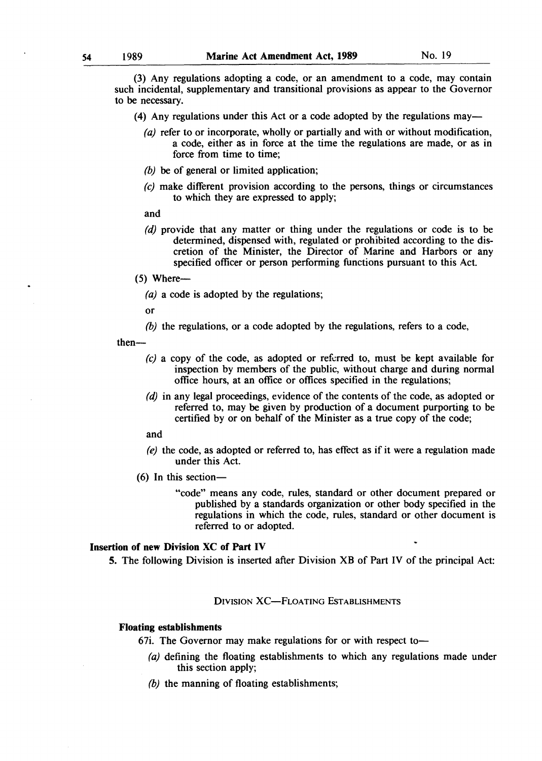(3) Any regulations adopting a code, or an amendment to a code, may contain such incidental, supplementary and transitional provisions as appear to the Governor to be necessary.

- (4) Any regulations under this Act or a code adopted by the regulations may—
	- (a) refer to or incorporate, wholly or partially and with or without modification, a code, either as in force at the time the regulations are made, or as in force from time to time;
	- *(b)* be of general or limited application;
	- *(e)* make different provision according to the persons, things or circumstances to which they are expressed to apply;
	- and
	- (d) provide that any matter or thing under the regulations or code is to be determined, dispensed with, regulated or prohibited according to the discretion of the Minister, the Director of Marine and Harbors or any specified officer or person performing functions pursuant to this Act.
- $(5)$  Where--
	- (a) a code is adopted by the regulations;
	- or
	- *(h)* the regulations, or a code adopted by the regulations, refers to a code,

then-

- *(c)* a copy of the code, as adopted or referred to, must be kept available for inspection by members of the public, without charge and during normal office hours, at an office or offices specified in the regulations;
- *(d)* in any legal proceedings, evidence of the contents of the code, as adopted or referred to, may be given by production of a document purporting to be certified by or on behalf of the Minister as a true copy of the code;
- and
- (e) the code, as adopted or referred to, has effect as if it were a regulation made under this Act.
- $(6)$  In this section-
	- "code" means any code, rules, standard or other document prepared or published by a standards organization or other body specified in the regulations in which the code, rules, standard or other document is referred to or adopted.

#### Insertion of new Division XC of Part IV

5. The following Division is inserted after Division XB of Part IV of the principal Act:

DIVISION XC-FLOATING ESTABLISHMENTS

#### Floating establishments

- 67i. The Governor may make regulations for or with respect to-
	- (a) defining the floating establishments to which any regulations made under this section apply;
	- *(h)* the manning of floating establishments;